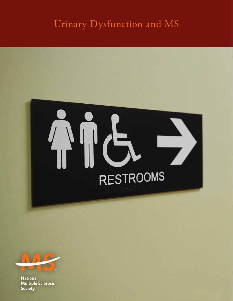### Urinary Dysfunction and MS





**National Multiple Sclerosis Society**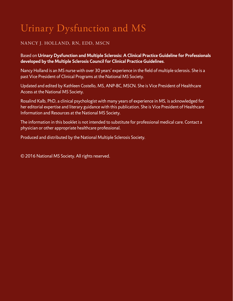# Urinary Dysfunction and MS

#### NANCY J. HOLLAND, RN, EDD, MSCN

#### Based on **Urinary Dysfunction and Multiple Sclerosis: A Clinical Practice Guideline for Professionals developed by the Multiple Sclerosis Council for Clinical Practice Guidelines**.

Nancy Holland is an MS nurse with over 30 years' experience in the field of multiple sclerosis. She is a past Vice President of Clinical Programs at the National MS Society.

Updated and edited by Kathleen Costello, MS, ANP-BC, MSCN. She is Vice President of Healthcare Access at the National MS Society.

Rosalind Kalb, PhD, a clinical psychologist with many years of experience in MS, is acknowledged for her editorial expertise and literary guidance with this publication. She is Vice President of Healthcare Information and Resources at the National MS Society.

The information in this booklet is not intended to substitute for professional medical care. Contact a physician or other appropriate healthcare professional.

Produced and distributed by the National Multiple Sclerosis Society.

© 2016 National MS Society. All rights reserved.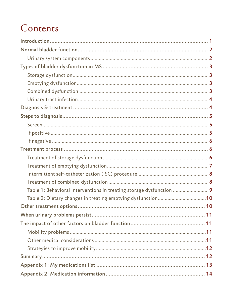### Contents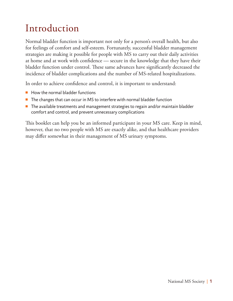## <span id="page-4-0"></span>Introduction

Normal bladder function is important not only for a person's overall health, but also for feelings of comfort and self-esteem. Fortunately, successful bladder management strategies are making it possible for people with MS to carry out their daily activities at home and at work with confidence — secure in the knowledge that they have their bladder function under control. These same advances have significantly decreased the incidence of bladder complications and the number of MS-related hospitalizations.

In order to achieve confidence and control, it is important to understand:

- How the normal bladder functions
- The changes that can occur in MS to interfere with normal bladder function
- The available treatments and management strategies to regain and/or maintain bladder comfort and control, and prevent unnecessary complications

This booklet can help you be an informed participant in your MS care. Keep in mind, however, that no two people with MS are exactly alike, and that healthcare providers may differ somewhat in their management of MS urinary symptoms.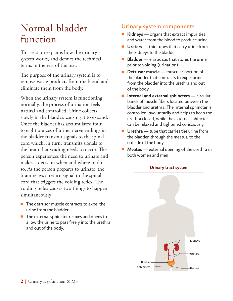### <span id="page-5-0"></span>Normal bladder function

This section explains how the urinary system works, and defines the technical terms in the rest of the text.

The purpose of the urinary system is to remove waste products from the blood and eliminate them from the body.

When the urinary system is functioning normally, the process of urination feels natural and controlled. Urine collects slowly in the bladder, causing it to expand. Once the bladder has accumulated four to eight ounces of urine, nerve endings in the bladder transmit signals to the spinal cord which, in turn, transmits signals to the brain that voiding needs to occur. The person experiences the need to urinate and makes a decision when and where to do so. As the person prepares to urinate, the brain relays a return signal to the spinal cord that triggers the voiding reflex. The voiding reflex causes two things to happen simultaneously:

- The detrusor muscle contracts to expel the urine from the bladder.
- The external sphincter relaxes and opens to allow the urine to pass freely into the urethra and out of the body.

#### Urinary system components

- **Kidneys** organs that extract impurities and water from the blood to produce urine
- **Ureters** thin tubes that carry urine from the kidneys to the bladder
- **Bladder** elastic sac that stores the urine prior to voiding (urination)
- **Detrusor muscle** muscular portion of the bladder that contracts to expel urine from the bladder into the urethra and out of the body
- **Internal and external sphincters** circular bands of muscle fibers located between the bladder and urethra. The internal sphincter is controlled involuntarily and helps to keep the urethra closed, while the external sphincter can be relaxed and tightened consciously
- **Urethra** tube that carries the urine from the bladder, through the meatus, to the outside of the body
- **Meatus** external opening of the urethra in both women and men



#### **Urinary tract system**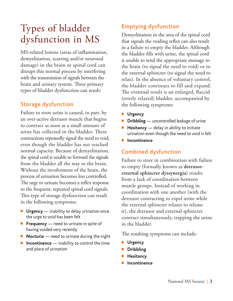### <span id="page-6-0"></span>Types of bladder dysfunction in MS

MS-related lesions (areas of inflammation, demyelination, scarring and/or neuronal damage) in the brain or spinal cord can disrupt this normal process by interfering with the transmission of signals between the brain and urinary system. Three primary types of bladder dysfunction can result:

#### Storage dysfunction

Failure to store urine is caused, in part, by an over-active detrusor muscle that begins to contract as soon as a small amount of urine has collected in the bladder. These contractions repeatedly signal the need to void, even though the bladder has not reached normal capacity. Because of demyelination, the spinal cord is unable to forward the signals from the bladder all the way to the brain. Without the involvement of the brain, the process of urination becomes less controlled. The urge to urinate becomes a reflex response to the frequent, repeated spinal cord signals. This type of storage dysfunction can result in the following symptoms:

- **Urgency** inability to delay urination once the urge to void has been felt
- **Frequency** need to urinate in spite of having voided very recently
- **Nocturia** need to urinate during the night
- **Incontinence** inability to control the time and place of urination

### Emptying dysfunction

Demyelination in the area of the spinal cord that signals the voiding reflex can also result in a failure to empty the bladder. Although the bladder fills with urine, the spinal cord is unable to send the appropriate message to the brain (to signal the need to void) or to the external sphincter (to signal the need to relax). In the absence of voluntary control, the bladder continues to fill and expand. The eventual result is an enlarged, flaccid (overly relaxed) bladder, accompanied by the following symptoms:

- ■■ **Urgency**
- **Dribbling** uncontrolled leakage of urine
- **Hesitancy** delay in ability to initiate urination even though the need to void is felt
- ■■ **Incontinence**

#### Combined dysfunction

Failure to store in combination with failure to empty (formally known as **detrusorexternal sphincter dyssynergia**) results from a lack of coordination between muscle groups. Instead of working in coordination with one another (with the detrusor contracting to expel urine while the external sphincter relaxes to release it), the detrusor and external sphincter contract simultaneously, trapping the urine in the bladder.

The resulting symptoms can include:

- **Urgency**
- ■■ **Dribbling**
- ■■ **Hesitancy**
- **Incontinence**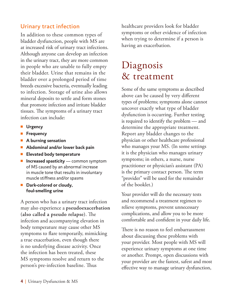#### <span id="page-7-0"></span>Urinary tract infection

In addition to these common types of bladder dysfunction, people with MS are at increased risk of urinary tract infections. Although anyone can develop an infection in the urinary tract, they are more common in people who are unable to fully empty their bladder. Urine that remains in the bladder over a prolonged period of time breeds excessive bacteria, eventually leading to infection. Storage of urine also allows mineral deposits to settle and form stones that promote infection and irritate bladder tissues. The symptoms of a urinary tract infection can include:

- **Urgency**
- ■■ **Frequency**
- A burning sensation
- **Abdominal and/or lower back pain**
- ■■ **Elevated body temperature**
- **Increased spasticity** common symptom of MS caused by an abnormal increase in muscle tone that results in involuntary muscle stiffness and/or spasms
- **Dark-colored or cloudy**, **foul-smelling urine**

A person who has a urinary tract infection may also experience a **pseudoexacerbation (also called a pseudo relapse)**. The infection and accompanying elevation in body temperature may cause other MS symptoms to flare temporarily, mimicking a true exacerbation, even though there is no underlying disease activity. Once the infection has been treated, these MS symptoms resolve and return to the person's pre-infection baseline. Thus

healthcare providers look for bladder symptoms or other evidence of infection when trying to determine if a person is having an exacerbation.

### Diagnosis & treatment

Some of the same symptoms as described above can be caused by very different types of problems; symptoms alone cannot uncover exactly what type of bladder dysfunction is occurring. Further testing is required to identify the problem — and determine the appropriate treatment. Report any bladder changes to the physician or other healthcare professional who manages your MS. (In some settings it is the physician who manages urinary symptoms; in others, a nurse, nurse practitioner or physician's assistant (PA) is the primary contact person. The term "provider" will be used for the remainder of the booklet.)

Your provider will do the necessary tests and recommend a treatment regimen to relieve symptoms, prevent unnecessary complications, and allow you to be more comfortable and confident in your daily life.

There is no reason to feel embarrassment about discussing these problems with your provider. Most people with MS will experience urinary symptoms at one time or another. Prompt, open discussions with your provider are the fastest, safest and most effective way to manage urinary dysfunction,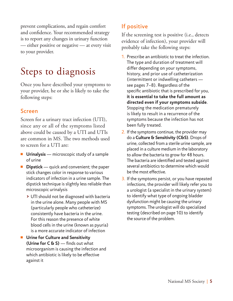<span id="page-8-0"></span>prevent complications, and regain comfort and confidence. Your recommended strategy is to report any changes in urinary function — either positive or negative — at every visit to your provider.

### Steps to diagnosis

Once you have described your symptoms to your provider, he or she is likely to take the following steps:

#### Screen

Screen for a urinary tract infection (UTI), since any or all of the symptoms listed above could be caused by a UTI and UTIs are common in MS. The two methods used to screen for a UTI are:

- **Urinalysis** microscopic study of a sample of urine
- **Dipstick** quick and convenient; the paper stick changes color in response to various indicators of infection in a urine sample. The dipstick technique is slightly less reliable than microscopic urinalysis
	- **>** UTI should not be diagnosed with bacteria in the urine alone. Many people with MS (particularly people who catheterize) consistently have bacteria in the urine. For this reason the presence of white blood cells in the urine (known as pyuria) is a more accurate indicator of infection
- Urine for Culture and Sensitivity **(Urine for C & S)** — finds out what microorganism is causing the infection and which antibiotic is likely to be effective against it

### If positive

If the screening test is positive (i.e., detects evidence of infection), your provider will probably take the following steps:

- 1. Prescribe an antibiotic to treat the infection. The type and duration of treatment will differ depending on your symptoms, history, and prior use of catheterization (intermittent or indwelling catheters see pages [7](#page-10-1)[–8](#page-11-1)). Regardless of the specific antibiotic that is prescribed for you, **it is essential to take the full amount as directed even if your symptoms subside**. Stopping the medication prematurely is likely to result in a recurrence of the symptoms because the infection has not been fully treated.
- 2. If the symptoms continue, the provider may do a **Culture & Sensitivity (C&S)**. Drops of urine, collected from a sterile urine sample, are placed in a culture medium in the laboratory to allow the bacteria to grow for 48 hours. The bacteria are identified and tested against several antibiotics to determine which would be the most effective.
- 3. If the symptoms persist, or you have repeated infections, the provider will likely refer you to a urologist (a specialist in the urinary system) to identify what type of ongoing bladder dysfunction might be causing the urinary symptoms. The urologist will do specialized testing (described on page [10\)](#page-13-1) to identify the source of the problem.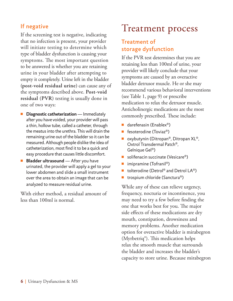### <span id="page-9-0"></span>If negative

If the screening test is negative, indicating that no infection is present, your provider will initiate testing to determine which type of bladder dysfunction is causing your symptoms. The most important question to be answered is whether you are retaining urine in your bladder after attempting to empty it completely. Urine left in the bladder **(post-void residual urine)** can cause any of the symptoms described above. **Post-void residual (PVR)** testing is usually done in one of two ways:

- **Diagnostic catheterization** Immediately after you have voided, your provider will pass a thin, hollow tube, called a catheter, through the meatus into the urethra. This will drain the remaining urine out of the bladder so it can be measured. Although people dislike the idea of catheterization, most find it to be a quick and easy procedure that causes little discomfort.
- **Bladder ultrasound** After you have urinated, the provider will apply a gel to your lower abdomen and slide a small instrument over the area to obtain an image that can be analyzed to measure residual urine.

With either method, a residual amount of less than 100ml is normal.

## Treatment process

#### Treatment of storage dysfunction

If the PVR test determines that you are retaining less than 100ml of urine, your provider will likely conclude that your symptoms are caused by an overactive bladder detrusor muscle. He or she may recommend various behavioral interventions (see Table 1, page [9\)](#page-12-1) or prescribe medication to relax the detrusor muscle. Anticholinergic medications are the most commonly prescribed. These include:

- darefenasin (Enablex<sup>®</sup>)
- fesoterodine (Toviaz<sup>®</sup>)
- oxybutynin (Ditropan®, Ditropan XL®, Oxtrol Transdermal Patch®, Gelnique Gel®)
- solifenacin succinate (Vesicare<sup>®</sup>)
- imipramine (Tofranil®)
- tolterodine (Detrol® and Detrol  $LA^@$ )
- trospium chloride (Sanctura®)

While any of these can relieve urgency, frequency, nocturia or incontinence, you may need to try a few before finding the one that works best for you. The major side effects of these medications are dry mouth, constipation, drowsiness and memory problems. Another medication option for overactive bladder is mirabegron (Myrbetriq®). This medication helps relax the smooth muscle that surrounds the bladder and increases the bladder's capacity to store urine. Because mirabegron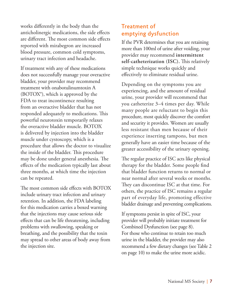<span id="page-10-0"></span>works differently in the body than the anticholinergic medications, the side effects are different. The most common side effects reported with mirabegron are increased blood pressure, common cold symptoms, urinary tract infection and headache.

If treatment with any of these medications does not successfully manage your overactive bladder, your provider may recommend treatment with onabotulinumtoxin A (BOTOX®), which is approved by the FDA to treat incontinence resulting from an overactive bladder that has not responded adequately to medications. This powerful neurotoxin temporarily relaxes the overactive bladder muscle. BOTOX is delivered by injection into the bladder muscle under cystoscopy, which is a procedure that allows the doctor to visualize the inside of the bladder. This procedure may be done under general anesthesia. The effects of the medication typically last about three months, at which time the injection can be repeated.

The most common side effects with BOTOX include urinary tract infection and urinary retention. In addition, the FDA labeling for this medication carries a boxed warning that the injections may cause serious side effects that can be life threatening, including problems with swallowing, speaking or breathing, and the possibility that the toxin may spread to other areas of body away from the injection site.

#### <span id="page-10-1"></span>Treatment of emptying dysfunction

If the PVR determines that you are retaining more than 100ml of urine after voiding, your provider may recommend **intermittent self-catheterization (ISC).** This relatively simple technique works quickly and effectively to eliminate residual urine.

Depending on the symptoms you are experiencing, and the amount of residual urine, your provider will recommend that you catheterize 3–4 times per day. While many people are reluctant to begin this procedure, most quickly discover the comfort and security it provides. Women are usually less resistant than men because of their experience inserting tampons, but men generally have an easier time because of the greater accessibility of the urinary opening.

The regular practice of ISC acts like physical therapy for the bladder. Some people find that bladder function returns to normal or near normal after several weeks or months. They can discontinue ISC at that time. For others, the practice of ISC remains a regular part of everyday life, promoting effective bladder drainage and preventing complications.

If symptoms persist in spite of ISC, your provider will probably initiate treatment for Combined Dysfunction (see page [8](#page-11-2)). For those who continue to retain too much urine in the bladder, the provider may also recommend a few dietary changes (see Table 2 on page [10](#page-13-1)) to make the urine more acidic.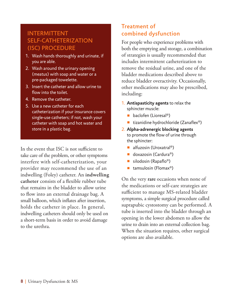#### <span id="page-11-0"></span>INTERMITTENT SELF-CATHETERIZATION (ISC) PROCEDURE

- 1. Wash hands thoroughly and urinate, if you are able.
- 2. Wash around the urinary opening (meatus) with soap and water or a pre-packaged towelette.
- 3. Insert the catheter and allow urine to flow into the toilet.
- 4. Remove the catheter.
- 5. Use a new catheter for each catheterization if your insurance covers single-use catheters; if not, wash your catheter with soap and hot water and store in a plastic bag.

In the event that ISC is not sufficient to take care of the problem, or other symptoms interfere with self-catheterization, your provider may recommend the use of an indwelling (Foley) catheter. An **indwelling catheter** consists of a flexible rubber tube that remains in the bladder to allow urine to flow into an external drainage bag. A small balloon, which inflates after insertion, holds the catheter in place. In general, indwelling catheters should only be used on a short-term basis in order to avoid damage to the urethra.

#### <span id="page-11-2"></span>Treatment of combined dysfunction

For people who experience problems with both the emptying and storage, a combination of strategies is usually recommended that includes intermittent catheterization to remove the residual urine, and one of the bladder medications described above to reduce bladder overactivity. Occasionally, other medications may also be prescribed, including:

- 1. **Antispasticity agents** to relax the sphincter muscle:
	- baclofen (Lioresal®)
	- tizanidine hydrochloride (Zanaflex<sup>®</sup>)
- 2. **Alpha-adrenergic blocking agents**  to promote the flow of urine through the sphincter:
	- alfuzosin (Uroxatral®)
	- doxazosin (Cardura<sup>®</sup>)
	- silodosin (Rapaflo<sup>®</sup>)
	- tamsulosin (Flomax<sup>®</sup>)

<span id="page-11-1"></span>On the very **rare** occasions when none of the medications or self-care strategies are sufficient to manage MS-related bladder symptoms, a simple surgical procedure called suprapubic cystostomy can be performed. A tube is inserted into the bladder through an opening in the lower abdomen to allow the urine to drain into an external collection bag. When the situation requires, other surgical options are also available.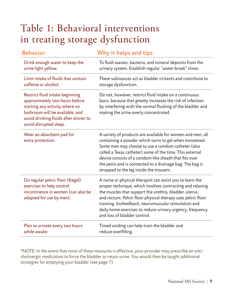### <span id="page-12-1"></span><span id="page-12-0"></span>Table 1: Behavioral interventions in treating storage dysfunction

| <b>Behavior</b>                                                                                                                                                                                           | Why it helps and tips                                                                                                                                                                                                                                                                                                                                                                                    |
|-----------------------------------------------------------------------------------------------------------------------------------------------------------------------------------------------------------|----------------------------------------------------------------------------------------------------------------------------------------------------------------------------------------------------------------------------------------------------------------------------------------------------------------------------------------------------------------------------------------------------------|
| Drink enough water to keep the<br>urine light yellow.                                                                                                                                                     | To flush wastes, bacteria, and mineral deposits from the<br>urinary system. Establish regular "water-break" times.                                                                                                                                                                                                                                                                                       |
| Limit intake of fluids that contain<br>caffeine or alcohol.                                                                                                                                               | These substances act as bladder irritants and contribute to<br>storage dysfunction.                                                                                                                                                                                                                                                                                                                      |
| Restrict fluid intake beginning<br>approximately two hours before<br>starting any activity where no<br>bathroom will be available, and<br>avoid drinking fluids after dinner to<br>avoid disrupted sleep. | Do not, however, restrict fluid intake on a continuous<br>basis, because that greatly increases the risk of infection<br>by interfering with the normal flushing of the bladder and<br>making the urine overly concentrated.                                                                                                                                                                             |
| Wear an absorbent pad for<br>extra protection.                                                                                                                                                            | A variety of products are available for women and men, all<br>containing a powder which turns to gel when moistened.<br>Some men may choose to use a condom catheter (also<br>called a Texas catheter) some of the time. This external<br>device consists of a condom-like sheath that fits over<br>the penis and is connected to a drainage bag. The bag is<br>strapped to the leg inside the trousers. |
| Do regular pelvic floor (Kegel)<br>exercises to help control<br>incontinence in women (can also be<br>adapted for use by men).                                                                            | A nurse or physical therapist can assist you to learn the<br>proper technique, which involves contracting and relaxing<br>the muscles that support the urethra, bladder, uterus,<br>and rectum. Pelvic floor physical therapy uses pelvic floor<br>training, biofeedback, neuromuscular stimulation and<br>daily home exercises to reduce urinary urgency, frequency<br>and loss of bladder control.     |
| Plan to urinate every two hours<br>while awake.                                                                                                                                                           | Timed voiding can help train the bladder and<br>reduce overfilling.                                                                                                                                                                                                                                                                                                                                      |

\*NOTE: In the event that none of these measures is effective, your provider may prescribe an anticholinergic medication to force the bladder to retain urine. You would then be taught additional strategies for emptying your bladder (see page [7\)](#page-10-1).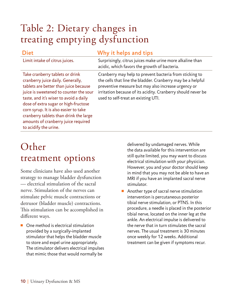### <span id="page-13-1"></span><span id="page-13-0"></span>Table 2: Dietary changes in treating emptying dysfunction

Limit intake of citrus juices. Surprisingly, citrus juices make urine more alkaline than

#### Diet **Why** it helps and tips

Take cranberry tablets or drink cranberry juice daily. Generally, tablets are better than juice because juice is sweetened to counter the sour taste, and it's wiser to avoid a daily dose of extra sugar or high-fructose corn syrup. It is also easier to take cranberry tablets than drink the large amounts of cranberry juice required to acidify the urine.

acidic, which favors the growth of bacteria. Cranberry may help to prevent bacteria from sticking to the cells that line the bladder. Cranberry may be a helpful preventive measure but may also increase urgency or irritation because of its acidity. Cranberry should never be used to self-treat an existing UTI.

### Other treatment options

Some clinicians have also used another strategy to manage bladder dysfunction — electrical stimulation of the sacral nerve. Stimulation of the nerves can stimulate pelvic muscle contractions or detrusor (bladder muscle) contractions. This stimulation can be accomplished in different ways.

■ One method is electrical stimulation provided by a surgically-implanted stimulator that helps the bladder muscle to store and expel urine appropriately. The stimulator delivers electrical impulses that mimic those that would normally be

delivered by undamaged nerves. While the data available for this intervention are still quite limited, you may want to discuss electrical stimulation with your physician. However, you and your doctor should keep in mind that you may not be able to have an MRI if you have an implanted sacral nerve stimulator.

■ Another type of sacral nerve stimulation intervention is percutaneous posterior tibial nerve stimulation, or PTNS. In this procedure, a needle is placed in the posterior tibial nerve, located on the inner leg at the ankle. An electrical impulse is delivered to the nerve that in turn stimulates the sacral nerves. The usual treatment is 30 minutes once weekly for 12 weeks. Additional treatment can be given if symptoms recur.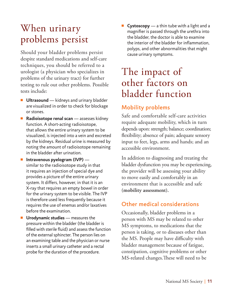### <span id="page-14-0"></span>When urinary problems persist

Should your bladder problems persist despite standard medications and self-care techniques, you should be referred to a urologist (a physician who specializes in problems of the urinary tract) for further testing to rule out other problems. Possible tests include:

- **Ultrasound** kidneys and urinary bladder are visualized in order to check for blockage or stones.
- **Radioisotope renal scan** assesses kidney function. A short-acting radioisotope, that allows the entire urinary system to be visualized, is injected into a vein and excreted by the kidneys. Residual urine is measured by noting the amount of radioisotope remaining in the bladder after urination.
- **Intravenous pyelogram (IVP)** similar to the radioisotope study in that it requires an injection of special dye and provides a picture of the entire urinary system. It differs, however, in that it is an X-ray that requires an empty bowel in order for the urinary system to be visible. The IVP is therefore used less frequently because it requires the use of enemas and/or laxatives before the examination.
- **Urodynamic studies** measures the pressure within the bladder (the bladder is filled with sterile fluid) and assess the function of the external sphincter. The person lies on an examining table and the physician or nurse inserts a small urinary catheter and a rectal probe for the duration of the procedure.

■ **Cystoscopy** — a thin tube with a light and a magnifier is passed through the urethra into the bladder, the doctor is able to examine the interior of the bladder for inflammation, polyps, and other abnormalities that might cause urinary symptoms.

### The impact of other factors on bladder function

### Mobility problems

Safe and comfortable self-care activities require adequate mobility, which in turn depends upon: strength; balance; coordination; flexibility; absence of pain; adequate sensory input to feet, legs, arms and hands; and an accessible environment.

In addition to diagnosing and treating the bladder dysfunction you may be experiencing, the provider will be assessing your ability to move easily and comfortably in an environment that is accessible and safe **(mobility assessment).**

#### Other medical considerations

Occasionally, bladder problems in a person with MS may be related to other MS symptoms, to medications that the person is taking, or to diseases other than the MS. People may have difficulty with bladder management because of fatigue, constipation, cognitive problems or other MS-related changes.These will need to be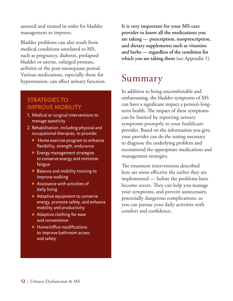<span id="page-15-0"></span>assessed and treated in order for bladder management to improve.

Bladder problems can also result from medical conditions unrelated to MS, such as pregnancy, diabetes, prolapsed bladder or uterus, enlarged prostate, arthritis or the post-menopause period. Various medications, especially those for hypertension, can affect urinary function.

#### STRATEGIES TO IMPROVE MOBILITY

- 1. Medical or surgical interventions to manage spasticity
- 2. Rehabilitation, including physical and occupational therapies, to provide:
	- Home exercise program to enhance flexibility, strength, endurance
	- Energy management strategies to conserve energy and minimize fatigue
	- Balance and mobility training to improve walking
	- Assistance with activities of daily living
	- Adaptive equipment to conserve energy, promote safety, and enhance mobility and productivity
	- Adaptive clothing for ease and convenience
	- Home/office modifications to improve bathroom access and safety

**It is very important for your MS-care provider to know all the medications you are taking — prescription, nonprescription, and dietary supplements such as vitamins and herbs — regardless of the condition for which you are taking them** (see Appendix 1)**.**

### Summary

In addition to being uncomfortable and embarrassing, the bladder symptoms of MS can have a significant impact a person's longterm health. The impact of these symptoms can be limited by reporting urinary symptoms promptly to your healthcare provider. Based on the information you give, your provider can do the testing necessary to diagnose the underlying problem and recommend the appropriate medications and management strategies.

The treatment interventions described here are more effective the earlier they are implemented — before the problems have become severe. They can help you manage your symptoms, and prevent unnecessary, potentially dangerous complications, so you can pursue your daily activities with comfort and confidence.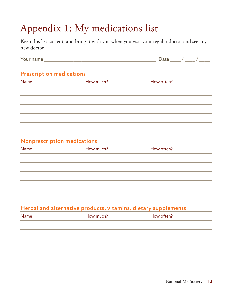# <span id="page-16-0"></span>Appendix 1: My medications list

Keep this list current, and bring it with you when you visit your regular doctor and see any new doctor.

|                                 |           | Date ____ / ____ / ____ |
|---------------------------------|-----------|-------------------------|
| <b>Prescription medications</b> |           |                         |
| <b>Name</b>                     | How much? | How often?              |
|                                 |           |                         |
|                                 |           |                         |
|                                 |           |                         |
|                                 |           |                         |
|                                 |           |                         |

#### Nonprescription medications

| Name | How much? | How often? |
|------|-----------|------------|
|      |           |            |
|      |           |            |
|      |           |            |
|      |           |            |

#### Herbal and alternative products, vitamins, dietary supplements

| Name | How much? | How often? |
|------|-----------|------------|
|      |           |            |
|      |           |            |
|      |           |            |
|      |           |            |
|      |           |            |
|      |           |            |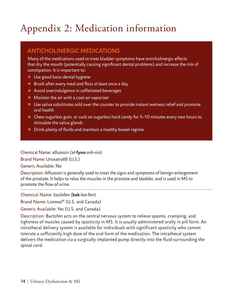# <span id="page-17-0"></span>Appendix 2: Medication information

### ANTICHOLINERGIC MEDICATIONS

Many of the medications used to treat bladder symptoms have anticholinergic effects that dry the mouth (potentially causing significant dental problems) and increase the risk of constipation. It is important to:

- Use good basic dental hygiene
- Brush after every meal and floss at least once a day
- Avoid overindulgence in caffeinated beverages
- Moisten the air with a cool-air vaporizer
- Use saliva substitutes sold over the counter to provide instant wetness relief and promote oral health
- Chew sugarless gum, or suck on sugarless hard candy for 5-10 minutes every two hours to stimulate the saliva glands
- Drink plenty of fluids and maintain a healthy bowel regime

Chemical Name: alfuzosin (al-**fyoo**-zoh-sin)

Brand Name: Uroxatral® (U.S.)

Generic Available: No

Description: Alfuzosin is generally used to treat the signs and symptoms of benign enlargement of the prostate. It helps to relax the muscles in the prostate and bladder, and is used in MS to promote the flow of urine.

Chemical Name: baclofen (**bak**-loe-fen)

Brand Name: Lioresal® (U.S. and Canada)

Generic Available: Yes (U.S. and Canada)

Description: Baclofen acts on the central nervous system to relieve spasms, cramping, and tightness of muscles caused by spasticity in MS. It is usually administered orally in pill form. An intrathecal delivery system is available for individuals with significant spasticity who cannot tolerate a sufficiently high dose of the oral form of the medication. The intrathecal system delivers the medication via a surgically implanted pump directly into the fluid surrounding the spinal cord.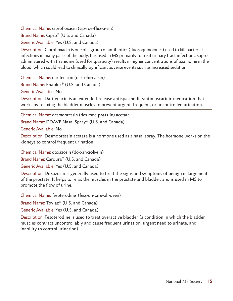Chemical Name: ciprofloxacin (sip-roe-**flox**-a-sin)

Brand Name: Cipro® (U.S. and Canada)

Generic Available: Yes (U.S. and Canada)

Description: Ciprofloxacin is one of a group of antibiotics (fluoroquinolones) used to kill bacterial infections in many parts of the body. It is used in MS primarily to treat urinary tract infections. Cipro administered with tizanidine (used for spasticity) results in higher concentrations of tizanidine in the blood, which could lead to clinically significant adverse events such as increased sedation.

Chemical Name: darifenacin (dar-i-**fen**-a-sin) Brand Name: Enablex® (U.S. and Canada)

Generic Available: No

Description: Darifenacin is an extended-release antispasmodic/antimuscarinic medication that works by relaxing the bladder muscles to prevent urgent, frequent, or uncontrolled urination.

Chemical Name: desmopressin (des-moe-**press**-in) acetate

Brand Name: DDAVP Nasal Spray® (U.S. and Canada)

Generic Available: No

Description: Desmopressin acetate is a hormone used as a nasal spray. The hormone works on the kidneys to control frequent urination.

Chemical Name: doxazosin (dox-ah-**zoh**-sin)

Brand Name: Cardura® (U.S. and Canada)

Generic Available: Yes (U.S. and Canada)

Description: Doxazosin is generally used to treat the signs and symptoms of benign enlargement of the prostate. It helps to relax the muscles in the prostate and bladder, and is used in MS to promote the flow of urine.

Chemical Name: fesoterodine (fess-oh-**tare**-oh-deen)

Brand Name: Toviaz® (U.S. and Canada)

Generic Available: Yes (U.S. and Canada)

Description: Fesoterodine is used to treat overactive bladder (a condition in which the bladder muscles contract uncontrollably and cause frequent urination, urgent need to urinate, and inability to control urination).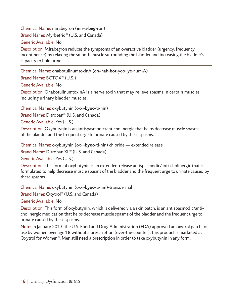Chemical Name: mirabegron (**mir**-a-**beg**-ron) Brand Name: Myrbetriq® (U.S. and Canada) Generic Available: No

Description: Mirabegron reduces the symptoms of an overactive bladder (urgency, frequency, incontinence) by relaxing the smooth muscle surrounding the bladder and increasing the bladder's capacity to hold urine.

Chemical Name: onabotulinumtoxinA (oh–nah-**bot**-yoo-lye-num-A)

Brand Name: BOTOX® (U.S.)

Generic Available: No

Description: OnabotulinumtoxinA is a nerve toxin that may relieve spasms in certain muscles, including urinary bladder muscles.

Chemical Name: oxybutynin (ox-i-**byoo**-ti-nin)

Brand Name: Ditropan® (U.S. and Canada)

Generic Available: Yes (U.S.)

Description: Oxybutynin is an antispasmodic/anticholinergic that helps decrease muscle spasms of the bladder and the frequent urge to urinate caused by these spasms.

Chemical Name: oxybutynin (ox-i-**byoo**-ti-nin) chloride — extended release

Brand Name: Ditropan XL® (U.S. and Canada)

Generic Available: Yes (U.S.)

Description: This form of oxybutynin is an extended-release antispasmodic/anti-cholinergic that is formulated to help decrease muscle spasms of the bladder and the frequent urge to urinate caused by these spasms.

Chemical Name: oxybutynin (ox-i-**byoo**-ti-nin)-transdermal

Brand Name: Oxytrol® (U.S. and Canada)

Generic Available: No

Description: This form of oxybutynin, which is delivered via a skin patch, is an antispasmodic/anticholinergic medication that helps decrease muscle spasms of the bladder and the frequent urge to urinate caused by these spasms.

Note: In January 2013, the U.S. Food and Drug Administration (FDA) approved an oxytrol patch for use by women over age 18 without a prescription (over-the-counter); this product is marketed as Oxytrol for Women®. Men still need a prescription in order to take oxybutynin in any form.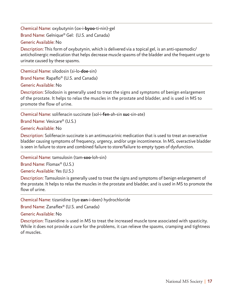Chemical Name: oxybutynin (ox-i-**byoo**-ti-nin)-gel Brand Name: Gelnique® Gel: (U.S. and Canada) Generic Available: No

Description: This form of oxybutynin, which is delivered via a topical gel, is an anti-spasmodic/ anticholinergic medication that helps decrease muscle spasms of the bladder and the frequent urge to urinate caused by these spasms.

Chemical Name: silodosin (si-lo-**doe**-sin) Brand Name: Rapaflo® (U.S. and Canada) Generic Available: No

Description: Silodosin is generally used to treat the signs and symptoms of benign enlargement of the prostate. It helps to relax the muscles in the prostate and bladder, and is used in MS to promote the flow of urine.

Chemical Name: solifenacin succinate (sol-i-**fen**-ah-sin **suc**-sin-ate)

Brand Name: Vesicare® (U.S.)

Generic Available: No

Description: Solifenacin succinate is an antimuscarinic medication that is used to treat an overactive bladder causing symptoms of frequency, urgency, and/or urge incontinence. In MS, overactive bladder is seen in failure to store and combined failure to store/failure to empty types of dysfunction.

Chemical Name: tamsulosin (tam-**soo**-loh-sin)

Brand Name: Flomax® (U.S.)

Generic Available: Yes (U.S.)

Description: Tamsulosin is generally used to treat the signs and symptoms of benign enlargement of the prostate. It helps to relax the muscles in the prostate and bladder, and is used in MS to promote the flow of urine.

Chemical Name: tizanidine (tye-**zan**-i-deen) hydrochloride

Brand Name: Zanaflex® (U.S. and Canada)

Generic Available: No

Description: Tizanidine is used in MS to treat the increased muscle tone associated with spasticity. While it does not provide a cure for the problems, it can relieve the spasms, cramping and tightness of muscles.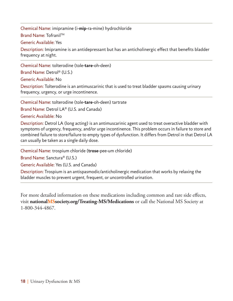Chemical Name: imipramine (i-**mip**-ra-mine) hydrochloride

Brand Name: Tofranil™

Generic Available: Yes

Description: Imipramine is an antidepressant but has an anticholinergic effect that benefits bladder frequency at night.

Chemical Name: tolterodine (tole-**tare**-oh-deen)

Brand Name: Detrol® (U.S.)

Generic Available: No

Description: Tolterodine is an antimuscarinic that is used to treat bladder spasms causing urinary frequency, urgency, or urge incontinence.

Chemical Name: tolterodine (tole-**tare**-oh-deen) tartrate

Brand Name: Detrol LA® (U.S. and Canada)

Generic Available: No

Description: Detrol LA (long acting) is an antimuscarinic agent used to treat overactive bladder with symptoms of urgency, frequency, and/or urge incontinence. This problem occurs in failure to store and combined failure to store/failure to empty types of dysfunction. It differs from Detrol in that Detrol LA can usually be taken as a single daily dose.

Chemical Name: trospium chloride (**trose**-pee-um chloride)

Brand Name: Sanctura® (U.S.)

Generic Available: Yes (U.S. and Canada)

Description: Trospium is an antispasmodic/anticholinergic medication that works by relaxing the bladder muscles to prevent urgent, frequent, or uncontrolled urination.

For more detailed information on these medications including common and rare side effects, visit **nationalMSsociety.org/Treating-MS/Medications** or call the National MS Society at 1-800-344-4867.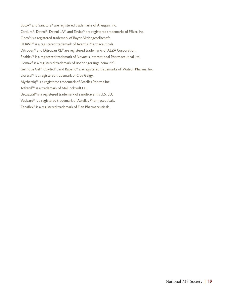Botox® and Sanctura® are registered trademarks of Allergan, Inc. Cardura®, Detrol®, Detrol LA®, and Toviaz® are registered trademarks of Pfizer, Inc. Cipro® is a registered trademark of Bayer Aktiengesellschaft. DDAVP® is a registered trademark of Aventis Pharmaceuticals. Ditropan® and Ditropan XL® are registered trademarks of ALZA Corporation. Enablex® is a registered trademark of Novartis International Pharmaceutical Ltd. Flomax® is a registered trademark of Boehringer Ingelheim Int'l. Gelnique Gel®, Oxytrol®, and Rapaflo® are registered trademarks of Watson Pharma, Inc. Lioresal® is a registered trademark of Ciba Geigy. Myrbetriq® is a registered trademark of Astellas Pharma Inc. Tofranil™ is a trademark of Mallinckrodt LLC. Uroxatral® is a registered trademark of sanofi-aventis U.S. LLC Vesicare® is a registered trademark of Astellas Pharmaceuticals. Zanaflex® is a registered trademark of Elan Pharmaceuticals.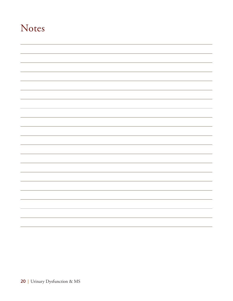### Notes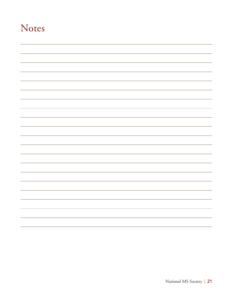### Notes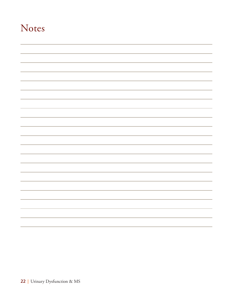### Notes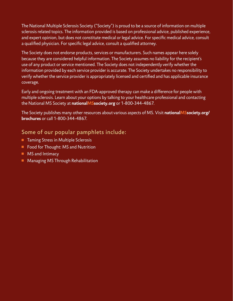The National Multiple Sclerosis Society ("Society") is proud to be a source of information on multiple sclerosis related topics. The information provided is based on professional advice, published experience, and expert opinion, but does not constitute medical or legal advice. For specific medical advice, consult a qualified physician. For specific legal advice, consult a qualified attorney.

The Society does not endorse products, services or manufacturers. Such names appear here solely because they are considered helpful information. The Society assumes no liability for the recipient's use of any product or service mentioned. The Society does not independently verify whether the information provided by each service provider is accurate. The Society undertakes no responsibility to verify whether the service provider is appropriately licensed and certified and has applicable insurance coverage.

Early and ongoing treatment with an FDA-approved therapy can make a difference for people with multiple sclerosis. Learn about your options by talking to your healthcare professional and contacting the National MS Society at **nationalMSsociety.org** or 1-800-344-4867.

The Society publishes many other resources about various aspects of MS. Visit **nationalMSsociety.org/ brochures** or call 1-800-344-4867.

#### Some of our popular pamphlets include:

- Taming Stress in Multiple Sclerosis
- Food for Thought: MS and Nutrition
- MS and Intimacy
- Managing MS Through Rehabilitation